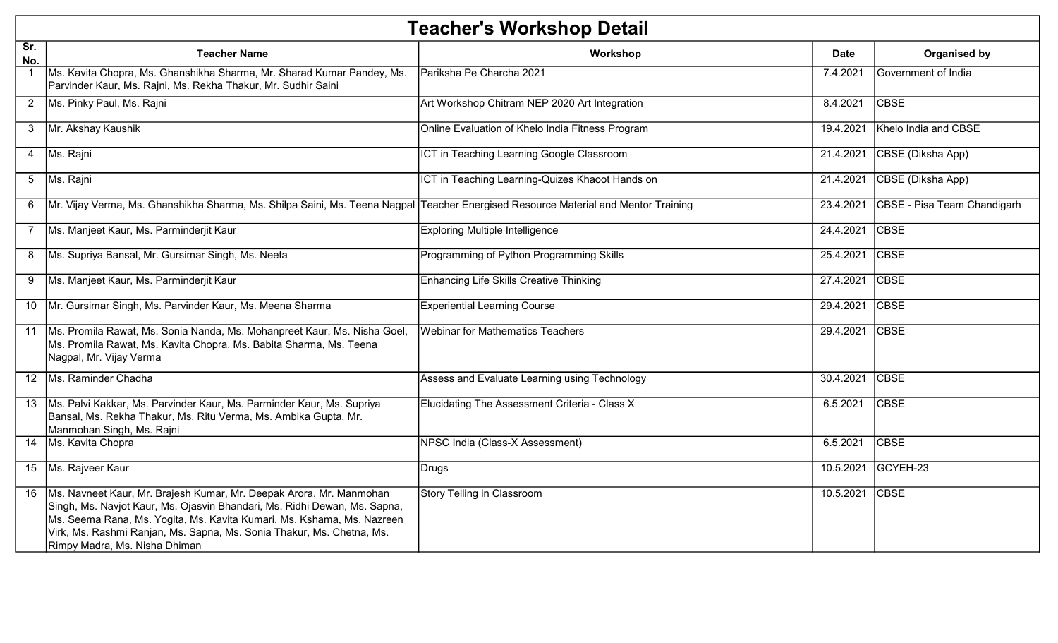|                | <b>Teacher's Workshop Detail</b>                                                                                                                                                                                                                                                                                                          |                                                  |             |                             |  |
|----------------|-------------------------------------------------------------------------------------------------------------------------------------------------------------------------------------------------------------------------------------------------------------------------------------------------------------------------------------------|--------------------------------------------------|-------------|-----------------------------|--|
| Sr.<br>No.     | <b>Teacher Name</b>                                                                                                                                                                                                                                                                                                                       | Workshop                                         | <b>Date</b> | Organised by                |  |
| $\mathbf 1$    | Ms. Kavita Chopra, Ms. Ghanshikha Sharma, Mr. Sharad Kumar Pandey, Ms.<br>Parvinder Kaur, Ms. Rajni, Ms. Rekha Thakur, Mr. Sudhir Saini                                                                                                                                                                                                   | Pariksha Pe Charcha 2021                         | 7.4.2021    | Government of India         |  |
| $2^{\circ}$    | Ms. Pinky Paul, Ms. Rajni                                                                                                                                                                                                                                                                                                                 | Art Workshop Chitram NEP 2020 Art Integration    | 8.4.2021    | <b>CBSE</b>                 |  |
| 3 <sup>1</sup> | Mr. Akshay Kaushik                                                                                                                                                                                                                                                                                                                        | Online Evaluation of Khelo India Fitness Program | 19.4.2021   | Khelo India and CBSE        |  |
|                | 4   Ms. Rajni                                                                                                                                                                                                                                                                                                                             | ICT in Teaching Learning Google Classroom        | 21.4.2021   | CBSE (Diksha App)           |  |
| 5 <sup>5</sup> | Ms. Rajni                                                                                                                                                                                                                                                                                                                                 | ICT in Teaching Learning-Quizes Khaoot Hands on  | 21.4.2021   | CBSE (Diksha App)           |  |
| 6              | Mr. Vijay Verma, Ms. Ghanshikha Sharma, Ms. Shilpa Saini, Ms. Teena Nagpal Teacher Energised Resource Material and Mentor Training                                                                                                                                                                                                        |                                                  | 23.4.2021   | CBSE - Pisa Team Chandigarh |  |
|                | 7 Ms. Manjeet Kaur, Ms. Parminderjit Kaur                                                                                                                                                                                                                                                                                                 | <b>Exploring Multiple Intelligence</b>           | 24.4.2021   | <b>CBSE</b>                 |  |
| 8              | Ms. Supriya Bansal, Mr. Gursimar Singh, Ms. Neeta                                                                                                                                                                                                                                                                                         | Programming of Python Programming Skills         | 25.4.2021   | <b>CBSE</b>                 |  |
| 9              | Ms. Manjeet Kaur, Ms. Parminderjit Kaur                                                                                                                                                                                                                                                                                                   | <b>Enhancing Life Skills Creative Thinking</b>   | 27.4.2021   | <b>CBSE</b>                 |  |
|                | 10   Mr. Gursimar Singh, Ms. Parvinder Kaur, Ms. Meena Sharma                                                                                                                                                                                                                                                                             | <b>Experiential Learning Course</b>              | 29.4.2021   | <b>CBSE</b>                 |  |
|                | 11   Ms. Promila Rawat, Ms. Sonia Nanda, Ms. Mohanpreet Kaur, Ms. Nisha Goel,<br>Ms. Promila Rawat, Ms. Kavita Chopra, Ms. Babita Sharma, Ms. Teena<br>Nagpal, Mr. Vijay Verma                                                                                                                                                            | <b>Webinar for Mathematics Teachers</b>          | 29.4.2021   | <b>CBSE</b>                 |  |
|                | 12 Ms. Raminder Chadha                                                                                                                                                                                                                                                                                                                    | Assess and Evaluate Learning using Technology    | 30.4.2021   | <b>CBSE</b>                 |  |
|                | 13   Ms. Palvi Kakkar, Ms. Parvinder Kaur, Ms. Parminder Kaur, Ms. Supriya<br>Bansal, Ms. Rekha Thakur, Ms. Ritu Verma, Ms. Ambika Gupta, Mr.<br>Manmohan Singh, Ms. Rajni                                                                                                                                                                | Elucidating The Assessment Criteria - Class X    | 6.5.2021    | <b>CBSE</b>                 |  |
|                | 14 Ms. Kavita Chopra                                                                                                                                                                                                                                                                                                                      | NPSC India (Class-X Assessment)                  | 6.5.2021    | <b>CBSE</b>                 |  |
|                | 15 Ms. Rajveer Kaur                                                                                                                                                                                                                                                                                                                       | Drugs                                            | 10.5.2021   | GCYEH-23                    |  |
|                | 16   Ms. Navneet Kaur, Mr. Brajesh Kumar, Mr. Deepak Arora, Mr. Manmohan<br>Singh, Ms. Navjot Kaur, Ms. Ojasvin Bhandari, Ms. Ridhi Dewan, Ms. Sapna,<br>Ms. Seema Rana, Ms. Yogita, Ms. Kavita Kumari, Ms. Kshama, Ms. Nazreen<br>Virk, Ms. Rashmi Ranjan, Ms. Sapna, Ms. Sonia Thakur, Ms. Chetna, Ms.<br>Rimpy Madra, Ms. Nisha Dhiman | <b>Story Telling in Classroom</b>                | 10.5.2021   | <b>CBSE</b>                 |  |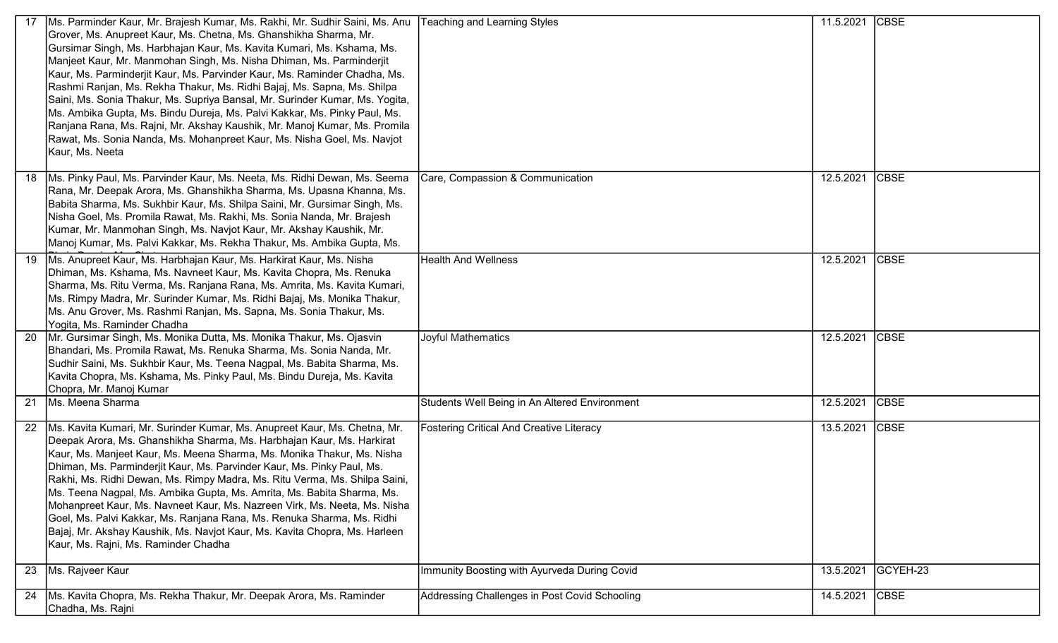|     | Ms. Parminder Kaur, Mr. Brajesh Kumar, Ms. Rakhi, Mr. Sudhir Saini, Ms. Anu<br>Grover, Ms. Anupreet Kaur, Ms. Chetna, Ms. Ghanshikha Sharma, Mr.<br>Gursimar Singh, Ms. Harbhajan Kaur, Ms. Kavita Kumari, Ms. Kshama, Ms.<br>Manjeet Kaur, Mr. Manmohan Singh, Ms. Nisha Dhiman, Ms. Parminderjit<br>Kaur, Ms. Parminderjit Kaur, Ms. Parvinder Kaur, Ms. Raminder Chadha, Ms.<br>Rashmi Ranjan, Ms. Rekha Thakur, Ms. Ridhi Bajaj, Ms. Sapna, Ms. Shilpa<br>Saini, Ms. Sonia Thakur, Ms. Supriya Bansal, Mr. Surinder Kumar, Ms. Yogita,<br>Ms. Ambika Gupta, Ms. Bindu Dureja, Ms. Palvi Kakkar, Ms. Pinky Paul, Ms.<br>Ranjana Rana, Ms. Rajni, Mr. Akshay Kaushik, Mr. Manoj Kumar, Ms. Promila<br>Rawat, Ms. Sonia Nanda, Ms. Mohanpreet Kaur, Ms. Nisha Goel, Ms. Navjot<br>Kaur, Ms. Neeta | <b>Teaching and Learning Styles</b>             | 11.5.2021 | <b>CBSE</b> |
|-----|----------------------------------------------------------------------------------------------------------------------------------------------------------------------------------------------------------------------------------------------------------------------------------------------------------------------------------------------------------------------------------------------------------------------------------------------------------------------------------------------------------------------------------------------------------------------------------------------------------------------------------------------------------------------------------------------------------------------------------------------------------------------------------------------------|-------------------------------------------------|-----------|-------------|
|     | 18   Ms. Pinky Paul, Ms. Parvinder Kaur, Ms. Neeta, Ms. Ridhi Dewan, Ms. Seema<br>Rana, Mr. Deepak Arora, Ms. Ghanshikha Sharma, Ms. Upasna Khanna, Ms.<br>Babita Sharma, Ms. Sukhbir Kaur, Ms. Shilpa Saini, Mr. Gursimar Singh, Ms.<br>Nisha Goel, Ms. Promila Rawat, Ms. Rakhi, Ms. Sonia Nanda, Mr. Brajesh<br>Kumar, Mr. Manmohan Singh, Ms. Navjot Kaur, Mr. Akshay Kaushik, Mr.<br>Manoj Kumar, Ms. Palvi Kakkar, Ms. Rekha Thakur, Ms. Ambika Gupta, Ms.                                                                                                                                                                                                                                                                                                                                   | Care, Compassion & Communication                | 12.5.2021 | <b>CBSE</b> |
|     | 19   Ms. Anupreet Kaur, Ms. Harbhajan Kaur, Ms. Harkirat Kaur, Ms. Nisha<br>Dhiman, Ms. Kshama, Ms. Navneet Kaur, Ms. Kavita Chopra, Ms. Renuka<br>Sharma, Ms. Ritu Verma, Ms. Ranjana Rana, Ms. Amrita, Ms. Kavita Kumari,<br>Ms. Rimpy Madra, Mr. Surinder Kumar, Ms. Ridhi Bajaj, Ms. Monika Thakur,<br>Ms. Anu Grover, Ms. Rashmi Ranjan, Ms. Sapna, Ms. Sonia Thakur, Ms.<br>Yogita, Ms. Raminder Chadha                                                                                                                                                                                                                                                                                                                                                                                      | <b>Health And Wellness</b>                      | 12.5.2021 | <b>CBSE</b> |
| -20 | Mr. Gursimar Singh, Ms. Monika Dutta, Ms. Monika Thakur, Ms. Ojasvin<br>Bhandari, Ms. Promila Rawat, Ms. Renuka Sharma, Ms. Sonia Nanda, Mr.<br>Sudhir Saini, Ms. Sukhbir Kaur, Ms. Teena Nagpal, Ms. Babita Sharma, Ms.<br>Kavita Chopra, Ms. Kshama, Ms. Pinky Paul, Ms. Bindu Dureja, Ms. Kavita<br>Chopra, Mr. Manoj Kumar                                                                                                                                                                                                                                                                                                                                                                                                                                                                     | Joyful Mathematics                              | 12.5.2021 | <b>CBSE</b> |
|     | 21 Ms. Meena Sharma                                                                                                                                                                                                                                                                                                                                                                                                                                                                                                                                                                                                                                                                                                                                                                                | Students Well Being in An Altered Environment   | 12.5.2021 | <b>CBSE</b> |
|     | 22   Ms. Kavita Kumari, Mr. Surinder Kumar, Ms. Anupreet Kaur, Ms. Chetna, Mr.<br>Deepak Arora, Ms. Ghanshikha Sharma, Ms. Harbhajan Kaur, Ms. Harkirat<br>Kaur, Ms. Manjeet Kaur, Ms. Meena Sharma, Ms. Monika Thakur, Ms. Nisha<br>Dhiman, Ms. Parminderjit Kaur, Ms. Parvinder Kaur, Ms. Pinky Paul, Ms.<br>Rakhi, Ms. Ridhi Dewan, Ms. Rimpy Madra, Ms. Ritu Verma, Ms. Shilpa Saini,<br>Ms. Teena Nagpal, Ms. Ambika Gupta, Ms. Amrita, Ms. Babita Sharma, Ms.<br>Mohanpreet Kaur, Ms. Navneet Kaur, Ms. Nazreen Virk, Ms. Neeta, Ms. Nisha<br>Goel, Ms. Palvi Kakkar, Ms. Ranjana Rana, Ms. Renuka Sharma, Ms. Ridhi<br>Bajaj, Mr. Akshay Kaushik, Ms. Navjot Kaur, Ms. Kavita Chopra, Ms. Harleen<br>Kaur, Ms. Rajni, Ms. Raminder Chadha                                                   | <b>Fostering Critical And Creative Literacy</b> | 13.5.2021 | <b>CBSE</b> |
| 23  | Ms. Rajveer Kaur                                                                                                                                                                                                                                                                                                                                                                                                                                                                                                                                                                                                                                                                                                                                                                                   | Immunity Boosting with Ayurveda During Covid    | 13.5.2021 | GCYEH-23    |
|     | 24   Ms. Kavita Chopra, Ms. Rekha Thakur, Mr. Deepak Arora, Ms. Raminder<br>Chadha, Ms. Rajni                                                                                                                                                                                                                                                                                                                                                                                                                                                                                                                                                                                                                                                                                                      | Addressing Challenges in Post Covid Schooling   | 14.5.2021 | <b>CBSE</b> |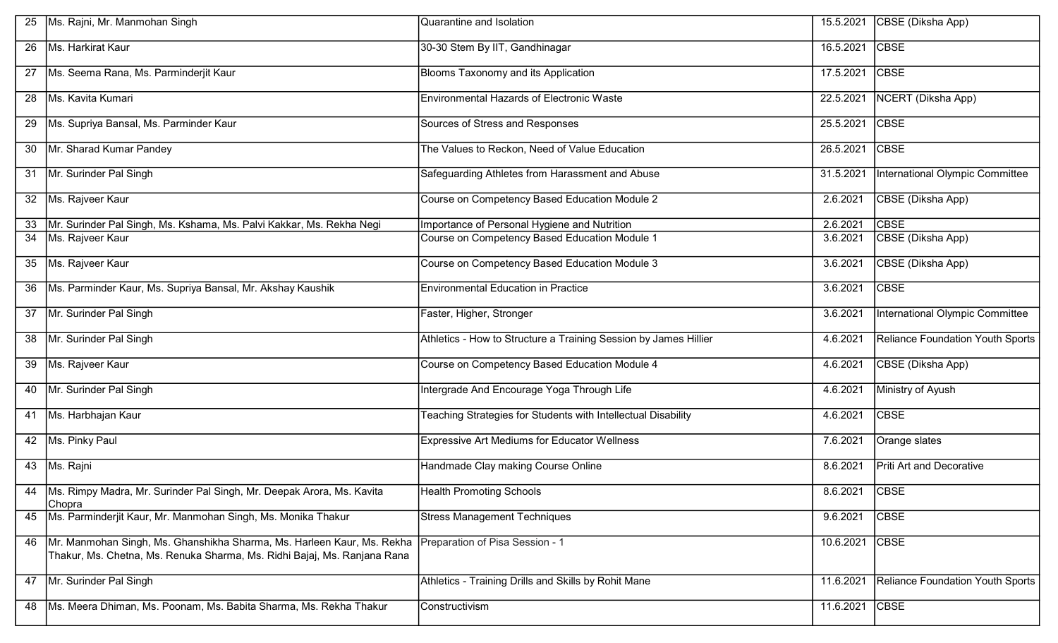|                 | Ms. Rajni, Mr. Manmohan Singh                                                                                                                      | Quarantine and Isolation                                         | 15.5.2021 | CBSE (Diksha App)                       |
|-----------------|----------------------------------------------------------------------------------------------------------------------------------------------------|------------------------------------------------------------------|-----------|-----------------------------------------|
| 26              | Ms. Harkirat Kaur                                                                                                                                  | 30-30 Stem By IIT, Gandhinagar                                   | 16.5.2021 | <b>CBSE</b>                             |
| 27              | Ms. Seema Rana, Ms. Parminderjit Kaur                                                                                                              | Blooms Taxonomy and its Application                              | 17.5.2021 | <b>CBSE</b>                             |
| 28              | Ms. Kavita Kumari                                                                                                                                  | Environmental Hazards of Electronic Waste                        | 22.5.2021 | NCERT (Diksha App)                      |
| 29              | Ms. Supriya Bansal, Ms. Parminder Kaur                                                                                                             | Sources of Stress and Responses                                  | 25.5.2021 | <b>CBSE</b>                             |
| 30              | Mr. Sharad Kumar Pandey                                                                                                                            | The Values to Reckon, Need of Value Education                    | 26.5.2021 | <b>CBSE</b>                             |
| 31              | Mr. Surinder Pal Singh                                                                                                                             | Safeguarding Athletes from Harassment and Abuse                  | 31.5.2021 | International Olympic Committee         |
| 32              | Ms. Rajveer Kaur                                                                                                                                   | Course on Competency Based Education Module 2                    | 2.6.2021  | CBSE (Diksha App)                       |
| 33              | Mr. Surinder Pal Singh, Ms. Kshama, Ms. Palvi Kakkar, Ms. Rekha Negi                                                                               | Importance of Personal Hygiene and Nutrition                     | 2.6.2021  | <b>CBSE</b>                             |
| $\overline{34}$ | Ms. Rajveer Kaur                                                                                                                                   | Course on Competency Based Education Module 1                    | 3.6.2021  | CBSE (Diksha App)                       |
|                 |                                                                                                                                                    |                                                                  |           |                                         |
|                 | 35 Ms. Rajveer Kaur                                                                                                                                | Course on Competency Based Education Module 3                    | 3.6.2021  | CBSE (Diksha App)                       |
| 36              | Ms. Parminder Kaur, Ms. Supriya Bansal, Mr. Akshay Kaushik                                                                                         | <b>Environmental Education in Practice</b>                       | 3.6.2021  | <b>CBSE</b>                             |
|                 | 37   Mr. Surinder Pal Singh                                                                                                                        | Faster, Higher, Stronger                                         | 3.6.2021  | International Olympic Committee         |
| 38              | Mr. Surinder Pal Singh                                                                                                                             | Athletics - How to Structure a Training Session by James Hillier | 4.6.2021  | <b>Reliance Foundation Youth Sports</b> |
| 39              | Ms. Rajveer Kaur                                                                                                                                   | Course on Competency Based Education Module 4                    | 4.6.2021  | CBSE (Diksha App)                       |
| 40              | Mr. Surinder Pal Singh                                                                                                                             | Intergrade And Encourage Yoga Through Life                       | 4.6.2021  | Ministry of Ayush                       |
| 41              | Ms. Harbhajan Kaur                                                                                                                                 | Teaching Strategies for Students with Intellectual Disability    | 4.6.2021  | <b>CBSE</b>                             |
| 42              | Ms. Pinky Paul                                                                                                                                     | <b>Expressive Art Mediums for Educator Wellness</b>              | 7.6.2021  | Orange slates                           |
| 43              | Ms. Rajni                                                                                                                                          | Handmade Clay making Course Online                               | 8.6.2021  | Priti Art and Decorative                |
|                 | Ms. Rimpy Madra, Mr. Surinder Pal Singh, Mr. Deepak Arora, Ms. Kavita<br>Chopra                                                                    | <b>Health Promoting Schools</b>                                  | 8.6.2021  | <b>CBSE</b>                             |
| 45              | Ms. Parminderjit Kaur, Mr. Manmohan Singh, Ms. Monika Thakur                                                                                       | <b>Stress Management Techniques</b>                              | 9.6.2021  | <b>CBSE</b>                             |
| 46              | Mr. Manmohan Singh, Ms. Ghanshikha Sharma, Ms. Harleen Kaur, Ms. Rekha<br>Thakur, Ms. Chetna, Ms. Renuka Sharma, Ms. Ridhi Bajaj, Ms. Ranjana Rana | Preparation of Pisa Session - 1                                  | 10.6.2021 | <b>CBSE</b>                             |
|                 | 47 Mr. Surinder Pal Singh                                                                                                                          | Athletics - Training Drills and Skills by Rohit Mane             | 11.6.2021 | Reliance Foundation Youth Sports        |
| 48              | Ms. Meera Dhiman, Ms. Poonam, Ms. Babita Sharma, Ms. Rekha Thakur                                                                                  | Constructivism                                                   | 11.6.2021 | <b>CBSE</b>                             |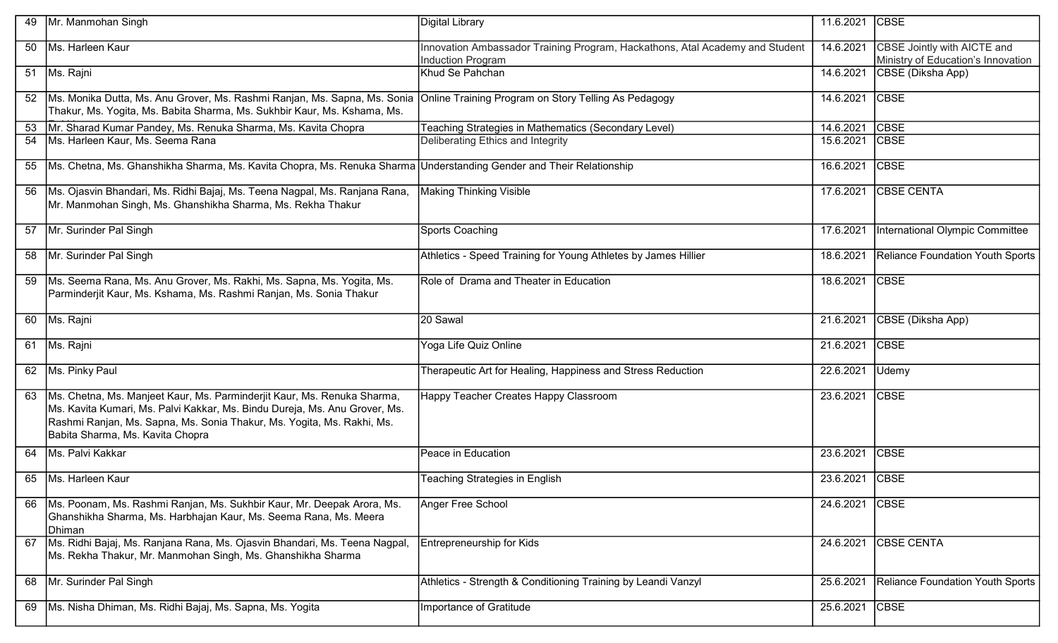| 49 | Mr. Manmohan Singh                                                                                                                                                                                                                                                  | Digital Library                                                                                   | 11.6.2021 | <b>CBSE</b>                                                       |
|----|---------------------------------------------------------------------------------------------------------------------------------------------------------------------------------------------------------------------------------------------------------------------|---------------------------------------------------------------------------------------------------|-----------|-------------------------------------------------------------------|
| 50 | Ms. Harleen Kaur                                                                                                                                                                                                                                                    | Innovation Ambassador Training Program, Hackathons, Atal Academy and Student<br>Induction Program | 14.6.2021 | CBSE Jointly with AICTE and<br>Ministry of Education's Innovation |
|    | 51   Ms. Rajni                                                                                                                                                                                                                                                      | Khud Se Pahchan                                                                                   | 14.6.2021 | CBSE (Diksha App)                                                 |
| 52 | Ms. Monika Dutta, Ms. Anu Grover, Ms. Rashmi Ranjan, Ms. Sapna, Ms. Sonia<br>Thakur, Ms. Yogita, Ms. Babita Sharma, Ms. Sukhbir Kaur, Ms. Kshama, Ms.                                                                                                               | Online Training Program on Story Telling As Pedagogy                                              | 14.6.2021 | <b>CBSE</b>                                                       |
|    | 53   Mr. Sharad Kumar Pandey, Ms. Renuka Sharma, Ms. Kavita Chopra                                                                                                                                                                                                  | Teaching Strategies in Mathematics (Secondary Level)                                              | 14.6.2021 | <b>CBSE</b>                                                       |
| 54 | Ms. Harleen Kaur, Ms. Seema Rana                                                                                                                                                                                                                                    | Deliberating Ethics and Integrity                                                                 | 15.6.2021 | <b>CBSE</b>                                                       |
|    | 55 Ms. Chetna, Ms. Ghanshikha Sharma, Ms. Kavita Chopra, Ms. Renuka Sharma Understanding Gender and Their Relationship                                                                                                                                              |                                                                                                   | 16.6.2021 | <b>CBSE</b>                                                       |
| 56 | Ms. Ojasvin Bhandari, Ms. Ridhi Bajaj, Ms. Teena Nagpal, Ms. Ranjana Rana,<br>Mr. Manmohan Singh, Ms. Ghanshikha Sharma, Ms. Rekha Thakur                                                                                                                           | <b>Making Thinking Visible</b>                                                                    | 17.6.2021 | <b>CBSE CENTA</b>                                                 |
| 57 | Mr. Surinder Pal Singh                                                                                                                                                                                                                                              | Sports Coaching                                                                                   | 17.6.2021 | International Olympic Committee                                   |
|    | 58 Mr. Surinder Pal Singh                                                                                                                                                                                                                                           | Athletics - Speed Training for Young Athletes by James Hillier                                    | 18.6.2021 | Reliance Foundation Youth Sports                                  |
| 59 | Ms. Seema Rana, Ms. Anu Grover, Ms. Rakhi, Ms. Sapna, Ms. Yogita, Ms.<br>Parminderjit Kaur, Ms. Kshama, Ms. Rashmi Ranjan, Ms. Sonia Thakur                                                                                                                         | Role of Drama and Theater in Education                                                            | 18.6.2021 | <b>CBSE</b>                                                       |
|    | 60   Ms. Rajni                                                                                                                                                                                                                                                      | 20 Sawal                                                                                          | 21.6.2021 | CBSE (Diksha App)                                                 |
|    | 61   Ms. Rajni                                                                                                                                                                                                                                                      | Yoga Life Quiz Online                                                                             | 21.6.2021 | <b>CBSE</b>                                                       |
|    | 62 Ms. Pinky Paul                                                                                                                                                                                                                                                   | Therapeutic Art for Healing, Happiness and Stress Reduction                                       | 22.6.2021 | Udemy                                                             |
| 63 | Ms. Chetna, Ms. Manjeet Kaur, Ms. Parminderjit Kaur, Ms. Renuka Sharma,<br>Ms. Kavita Kumari, Ms. Palvi Kakkar, Ms. Bindu Dureja, Ms. Anu Grover, Ms.<br>Rashmi Ranjan, Ms. Sapna, Ms. Sonia Thakur, Ms. Yogita, Ms. Rakhi, Ms.<br>Babita Sharma, Ms. Kavita Chopra | Happy Teacher Creates Happy Classroom                                                             | 23.6.2021 | <b>CBSE</b>                                                       |
|    | 64   Ms. Palvi Kakkar                                                                                                                                                                                                                                               | Peace in Education                                                                                | 23.6.2021 | <b>CBSE</b>                                                       |
| 65 | Ms. Harleen Kaur                                                                                                                                                                                                                                                    | Teaching Strategies in English                                                                    | 23.6.2021 | <b>CBSE</b>                                                       |
| 66 | Ms. Poonam, Ms. Rashmi Ranjan, Ms. Sukhbir Kaur, Mr. Deepak Arora, Ms.<br>Ghanshikha Sharma, Ms. Harbhajan Kaur, Ms. Seema Rana, Ms. Meera<br>Dhiman                                                                                                                | Anger Free School                                                                                 | 24.6.2021 | <b>CBSE</b>                                                       |
| 67 | Ms. Ridhi Bajaj, Ms. Ranjana Rana, Ms. Ojasvin Bhandari, Ms. Teena Nagpal,<br>Ms. Rekha Thakur, Mr. Manmohan Singh, Ms. Ghanshikha Sharma                                                                                                                           | Entrepreneurship for Kids                                                                         | 24.6.2021 | <b>CBSE CENTA</b>                                                 |
| 68 | Mr. Surinder Pal Singh                                                                                                                                                                                                                                              | Athletics - Strength & Conditioning Training by Leandi Vanzyl                                     | 25.6.2021 | Reliance Foundation Youth Sports                                  |
| 69 | Ms. Nisha Dhiman, Ms. Ridhi Bajaj, Ms. Sapna, Ms. Yogita                                                                                                                                                                                                            | Importance of Gratitude                                                                           | 25.6.2021 | <b>CBSE</b>                                                       |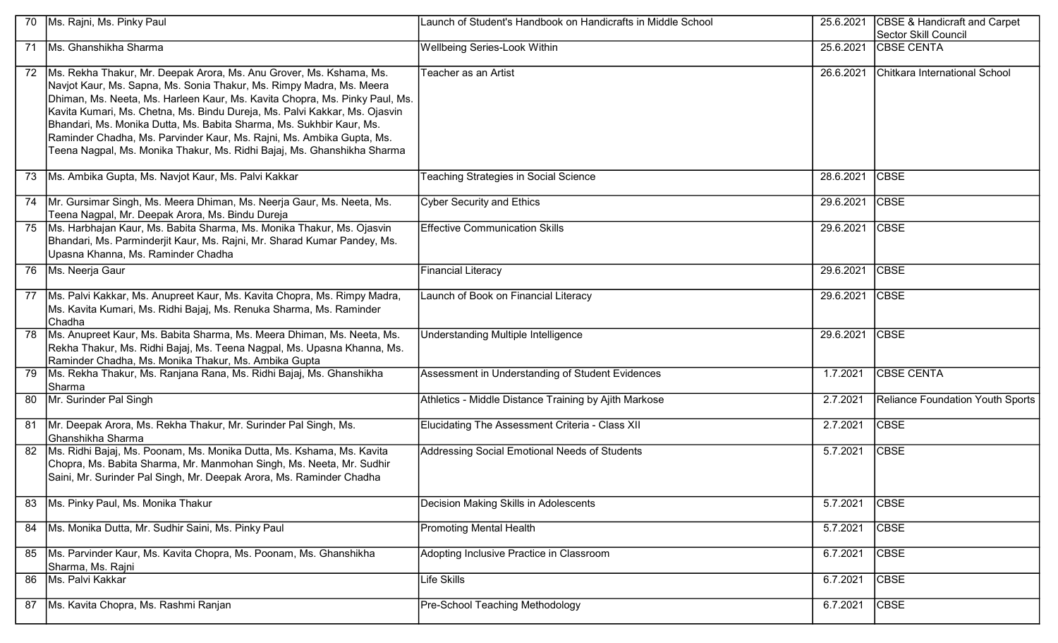|    | 70 Ms. Rajni, Ms. Pinky Paul                                                                                                                                                                                                                                                                                                                                                                                                                                                                                                              | Launch of Student's Handbook on Handicrafts in Middle School | 25.6.2021 | <b>CBSE &amp; Handicraft and Carpet</b><br>Sector Skill Council |
|----|-------------------------------------------------------------------------------------------------------------------------------------------------------------------------------------------------------------------------------------------------------------------------------------------------------------------------------------------------------------------------------------------------------------------------------------------------------------------------------------------------------------------------------------------|--------------------------------------------------------------|-----------|-----------------------------------------------------------------|
|    | 71 Ms. Ghanshikha Sharma                                                                                                                                                                                                                                                                                                                                                                                                                                                                                                                  | Wellbeing Series-Look Within                                 | 25.6.2021 | <b>CBSE CENTA</b>                                               |
|    | 72   Ms. Rekha Thakur, Mr. Deepak Arora, Ms. Anu Grover, Ms. Kshama, Ms.<br>Navjot Kaur, Ms. Sapna, Ms. Sonia Thakur, Ms. Rimpy Madra, Ms. Meera<br>Dhiman, Ms. Neeta, Ms. Harleen Kaur, Ms. Kavita Chopra, Ms. Pinky Paul, Ms.<br>Kavita Kumari, Ms. Chetna, Ms. Bindu Dureja, Ms. Palvi Kakkar, Ms. Ojasvin<br>Bhandari, Ms. Monika Dutta, Ms. Babita Sharma, Ms. Sukhbir Kaur, Ms.<br>Raminder Chadha, Ms. Parvinder Kaur, Ms. Rajni, Ms. Ambika Gupta, Ms.<br>Teena Nagpal, Ms. Monika Thakur, Ms. Ridhi Bajaj, Ms. Ghanshikha Sharma | Teacher as an Artist                                         | 26.6.2021 | Chitkara International School                                   |
|    | 73 Ms. Ambika Gupta, Ms. Navjot Kaur, Ms. Palvi Kakkar                                                                                                                                                                                                                                                                                                                                                                                                                                                                                    | Teaching Strategies in Social Science                        | 28.6.2021 | <b>CBSE</b>                                                     |
|    | 74   Mr. Gursimar Singh, Ms. Meera Dhiman, Ms. Neerja Gaur, Ms. Neeta, Ms.<br>Teena Nagpal, Mr. Deepak Arora, Ms. Bindu Dureja                                                                                                                                                                                                                                                                                                                                                                                                            | <b>Cyber Security and Ethics</b>                             | 29.6.2021 | <b>CBSE</b>                                                     |
|    | 75   Ms. Harbhajan Kaur, Ms. Babita Sharma, Ms. Monika Thakur, Ms. Ojasvin<br>Bhandari, Ms. Parminderjit Kaur, Ms. Rajni, Mr. Sharad Kumar Pandey, Ms.<br>Upasna Khanna, Ms. Raminder Chadha                                                                                                                                                                                                                                                                                                                                              | <b>Effective Communication Skills</b>                        | 29.6.2021 | <b>CBSE</b>                                                     |
|    | 76   Ms. Neerja Gaur                                                                                                                                                                                                                                                                                                                                                                                                                                                                                                                      | Financial Literacy                                           | 29.6.2021 | <b>CBSE</b>                                                     |
|    | 77   Ms. Palvi Kakkar, Ms. Anupreet Kaur, Ms. Kavita Chopra, Ms. Rimpy Madra,<br>Ms. Kavita Kumari, Ms. Ridhi Bajaj, Ms. Renuka Sharma, Ms. Raminder<br><b>Chadha</b>                                                                                                                                                                                                                                                                                                                                                                     | Launch of Book on Financial Literacy                         | 29.6.2021 | <b>CBSE</b>                                                     |
|    | 78   Ms. Anupreet Kaur, Ms. Babita Sharma, Ms. Meera Dhiman, Ms. Neeta, Ms.<br>Rekha Thakur, Ms. Ridhi Bajaj, Ms. Teena Nagpal, Ms. Upasna Khanna, Ms.<br>Raminder Chadha, Ms. Monika Thakur, Ms. Ambika Gupta                                                                                                                                                                                                                                                                                                                            | Understanding Multiple Intelligence                          | 29.6.2021 | <b>CBSE</b>                                                     |
| 79 | Ms. Rekha Thakur, Ms. Ranjana Rana, Ms. Ridhi Bajaj, Ms. Ghanshikha<br>Sharma                                                                                                                                                                                                                                                                                                                                                                                                                                                             | Assessment in Understanding of Student Evidences             | 1.7.2021  | <b>CBSE CENTA</b>                                               |
|    | 80   Mr. Surinder Pal Singh                                                                                                                                                                                                                                                                                                                                                                                                                                                                                                               | Athletics - Middle Distance Training by Ajith Markose        | 2.7.2021  | <b>Reliance Foundation Youth Sports</b>                         |
|    | 81 Mr. Deepak Arora, Ms. Rekha Thakur, Mr. Surinder Pal Singh, Ms.<br>Ghanshikha Sharma                                                                                                                                                                                                                                                                                                                                                                                                                                                   | Elucidating The Assessment Criteria - Class XII              | 2.7.2021  | <b>CBSE</b>                                                     |
|    | 82   Ms. Ridhi Bajaj, Ms. Poonam, Ms. Monika Dutta, Ms. Kshama, Ms. Kavita<br>Chopra, Ms. Babita Sharma, Mr. Manmohan Singh, Ms. Neeta, Mr. Sudhir<br>Saini, Mr. Surinder Pal Singh, Mr. Deepak Arora, Ms. Raminder Chadha                                                                                                                                                                                                                                                                                                                | Addressing Social Emotional Needs of Students                | 5.7.2021  | <b>CBSE</b>                                                     |
|    | 83   Ms. Pinky Paul, Ms. Monika Thakur                                                                                                                                                                                                                                                                                                                                                                                                                                                                                                    | Decision Making Skills in Adolescents                        | 5.7.2021  | <b>CBSE</b>                                                     |
|    | 84   Ms. Monika Dutta, Mr. Sudhir Saini, Ms. Pinky Paul                                                                                                                                                                                                                                                                                                                                                                                                                                                                                   | <b>Promoting Mental Health</b>                               | 5.7.2021  | <b>CBSE</b>                                                     |
| 85 | Ms. Parvinder Kaur, Ms. Kavita Chopra, Ms. Poonam, Ms. Ghanshikha<br>Sharma, Ms. Rajni                                                                                                                                                                                                                                                                                                                                                                                                                                                    | Adopting Inclusive Practice in Classroom                     | 6.7.2021  | <b>CBSE</b>                                                     |
|    | 86 Ms. Palvi Kakkar                                                                                                                                                                                                                                                                                                                                                                                                                                                                                                                       | <b>Life Skills</b>                                           | 6.7.2021  | <b>CBSE</b>                                                     |
| 87 | Ms. Kavita Chopra, Ms. Rashmi Ranjan                                                                                                                                                                                                                                                                                                                                                                                                                                                                                                      | Pre-School Teaching Methodology                              | 6.7.2021  | <b>CBSE</b>                                                     |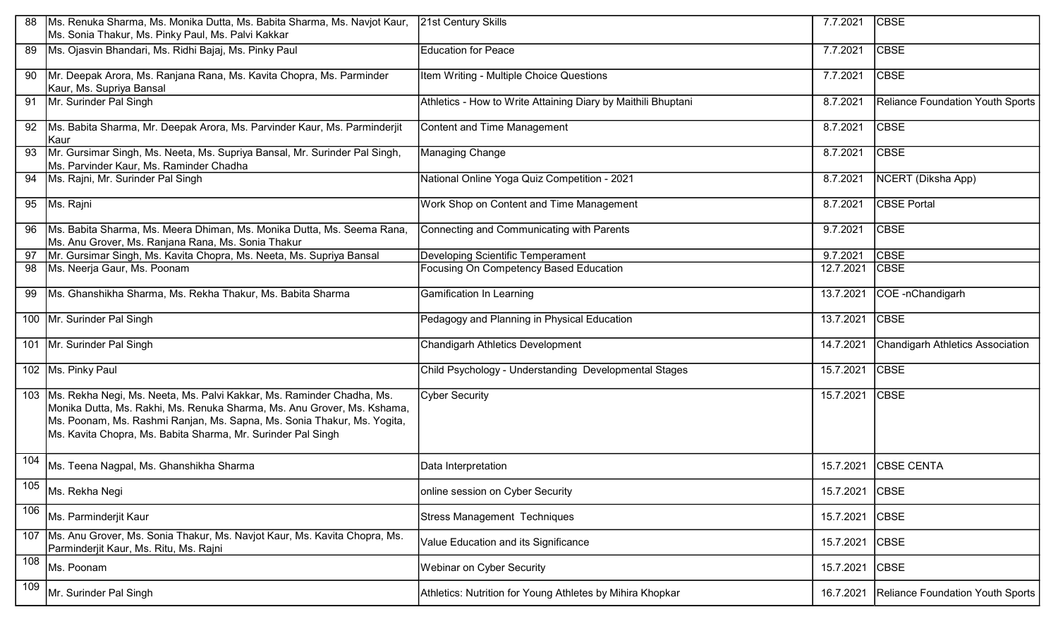|                 | Ms. Renuka Sharma, Ms. Monika Dutta, Ms. Babita Sharma, Ms. Navjot Kaur,<br>Ms. Sonia Thakur, Ms. Pinky Paul, Ms. Palvi Kakkar                                                                                                                                                                  | 21st Century Skills                                           | 7.7.2021  | <b>CBSE</b>                      |
|-----------------|-------------------------------------------------------------------------------------------------------------------------------------------------------------------------------------------------------------------------------------------------------------------------------------------------|---------------------------------------------------------------|-----------|----------------------------------|
| 89              | Ms. Ojasvin Bhandari, Ms. Ridhi Bajaj, Ms. Pinky Paul                                                                                                                                                                                                                                           | <b>Education for Peace</b>                                    | 7.7.2021  | <b>CBSE</b>                      |
| 90              | Mr. Deepak Arora, Ms. Ranjana Rana, Ms. Kavita Chopra, Ms. Parminder<br>Kaur, Ms. Supriya Bansal                                                                                                                                                                                                | Item Writing - Multiple Choice Questions                      | 7.7.2021  | <b>CBSE</b>                      |
|                 | 91 Mr. Surinder Pal Singh                                                                                                                                                                                                                                                                       | Athletics - How to Write Attaining Diary by Maithili Bhuptani | 8.7.2021  | Reliance Foundation Youth Sports |
| 92              | Ms. Babita Sharma, Mr. Deepak Arora, Ms. Parvinder Kaur, Ms. Parminderjit<br>Kaur                                                                                                                                                                                                               | <b>Content and Time Management</b>                            | 8.7.2021  | <b>CBSE</b>                      |
| 93              | Mr. Gursimar Singh, Ms. Neeta, Ms. Supriya Bansal, Mr. Surinder Pal Singh,<br>Ms. Parvinder Kaur, Ms. Raminder Chadha                                                                                                                                                                           | <b>Managing Change</b>                                        | 8.7.2021  | <b>CBSE</b>                      |
|                 | 94 Ms. Rajni, Mr. Surinder Pal Singh                                                                                                                                                                                                                                                            | National Online Yoga Quiz Competition - 2021                  | 8.7.2021  | NCERT (Diksha App)               |
|                 | 95 Ms. Rajni                                                                                                                                                                                                                                                                                    | Work Shop on Content and Time Management                      | 8.7.2021  | <b>CBSE Portal</b>               |
|                 | 96   Ms. Babita Sharma, Ms. Meera Dhiman, Ms. Monika Dutta, Ms. Seema Rana,<br>Ms. Anu Grover, Ms. Ranjana Rana, Ms. Sonia Thakur                                                                                                                                                               | Connecting and Communicating with Parents                     | 9.7.2021  | <b>CBSE</b>                      |
|                 | 97   Mr. Gursimar Singh, Ms. Kavita Chopra, Ms. Neeta, Ms. Supriya Bansal                                                                                                                                                                                                                       | <b>Developing Scientific Temperament</b>                      | 9.7.2021  | <b>CBSE</b>                      |
| 98              | Ms. Neerja Gaur, Ms. Poonam                                                                                                                                                                                                                                                                     | Focusing On Competency Based Education                        | 12.7.2021 | <b>CBSE</b>                      |
| 99              | Ms. Ghanshikha Sharma, Ms. Rekha Thakur, Ms. Babita Sharma                                                                                                                                                                                                                                      | <b>Gamification In Learning</b>                               | 13.7.2021 | COE -nChandigarh                 |
|                 | 100 Mr. Surinder Pal Singh                                                                                                                                                                                                                                                                      | Pedagogy and Planning in Physical Education                   | 13.7.2021 | <b>CBSE</b>                      |
|                 | 101 Mr. Surinder Pal Singh                                                                                                                                                                                                                                                                      | Chandigarh Athletics Development                              | 14.7.2021 | Chandigarh Athletics Association |
|                 | 102 Ms. Pinky Paul                                                                                                                                                                                                                                                                              | Child Psychology - Understanding Developmental Stages         | 15.7.2021 | <b>CBSE</b>                      |
|                 | 103 Ms. Rekha Negi, Ms. Neeta, Ms. Palvi Kakkar, Ms. Raminder Chadha, Ms.<br>Monika Dutta, Ms. Rakhi, Ms. Renuka Sharma, Ms. Anu Grover, Ms. Kshama,<br>Ms. Poonam, Ms. Rashmi Ranjan, Ms. Sapna, Ms. Sonia Thakur, Ms. Yogita,<br>Ms. Kavita Chopra, Ms. Babita Sharma, Mr. Surinder Pal Singh | <b>Cyber Security</b>                                         | 15.7.2021 | <b>CBSE</b>                      |
| 104             | Ms. Teena Nagpal, Ms. Ghanshikha Sharma                                                                                                                                                                                                                                                         | Data Interpretation                                           | 15.7.2021 | <b>CBSE CENTA</b>                |
| 10 <sub>5</sub> | Ms. Rekha Negi                                                                                                                                                                                                                                                                                  | online session on Cyber Security                              | 15.7.2021 | <b>CBSE</b>                      |
| 106             | Ms. Parminderjit Kaur                                                                                                                                                                                                                                                                           | <b>Stress Management Techniques</b>                           | 15.7.2021 | <b>CBSE</b>                      |
|                 | 107   Ms. Anu Grover, Ms. Sonia Thakur, Ms. Navjot Kaur, Ms. Kavita Chopra, Ms.<br>Parminderjit Kaur, Ms. Ritu, Ms. Rajni                                                                                                                                                                       | Value Education and its Significance                          | 15.7.2021 | <b>CBSE</b>                      |
| 108             | Ms. Poonam                                                                                                                                                                                                                                                                                      | Webinar on Cyber Security                                     | 15.7.2021 | <b>CBSE</b>                      |
| 109             | Mr. Surinder Pal Singh                                                                                                                                                                                                                                                                          | Athletics: Nutrition for Young Athletes by Mihira Khopkar     | 16.7.2021 | Reliance Foundation Youth Sports |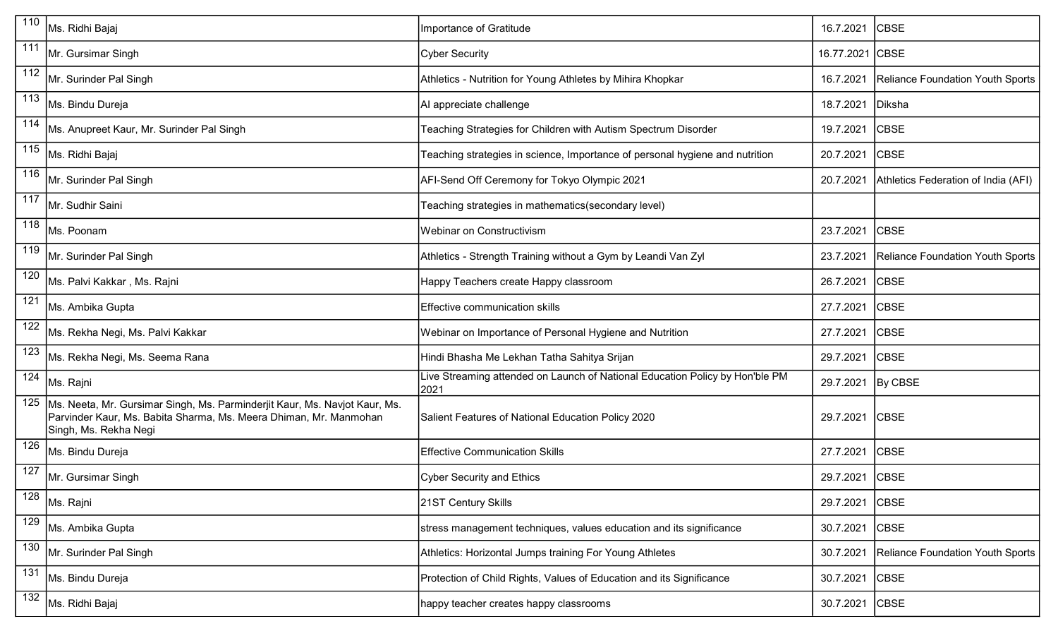| 110              | Ms. Ridhi Bajaj                                                                                                                                                          | Importance of Gratitude                                                              | 16.7.2021       | <b>CBSE</b>                         |
|------------------|--------------------------------------------------------------------------------------------------------------------------------------------------------------------------|--------------------------------------------------------------------------------------|-----------------|-------------------------------------|
| 111              | Mr. Gursimar Singh                                                                                                                                                       | <b>Cyber Security</b>                                                                | 16.77.2021 CBSE |                                     |
| $\overline{112}$ | Mr. Surinder Pal Singh                                                                                                                                                   | Athletics - Nutrition for Young Athletes by Mihira Khopkar                           | 16.7.2021       | Reliance Foundation Youth Sports    |
| 113              | Ms. Bindu Dureja                                                                                                                                                         | Al appreciate challenge                                                              | 18.7.2021       | Diksha                              |
| 114              | Ms. Anupreet Kaur, Mr. Surinder Pal Singh                                                                                                                                | Teaching Strategies for Children with Autism Spectrum Disorder                       | 19.7.2021       | <b>CBSE</b>                         |
| 115              | Ms. Ridhi Bajaj                                                                                                                                                          | Teaching strategies in science, Importance of personal hygiene and nutrition         | 20.7.2021       | <b>CBSE</b>                         |
| 116              | Mr. Surinder Pal Singh                                                                                                                                                   | AFI-Send Off Ceremony for Tokyo Olympic 2021                                         | 20.7.2021       | Athletics Federation of India (AFI) |
| 117              | Mr. Sudhir Saini                                                                                                                                                         | Teaching strategies in mathematics(secondary level)                                  |                 |                                     |
| 118              | Ms. Poonam                                                                                                                                                               | Webinar on Constructivism                                                            | 23.7.2021       | <b>CBSE</b>                         |
| 119              | Mr. Surinder Pal Singh                                                                                                                                                   | Athletics - Strength Training without a Gym by Leandi Van Zyl                        | 23.7.2021       | Reliance Foundation Youth Sports    |
| 120              | Ms. Palvi Kakkar , Ms. Rajni                                                                                                                                             | Happy Teachers create Happy classroom                                                | 26.7.2021       | <b>CBSE</b>                         |
| 121              | Ms. Ambika Gupta                                                                                                                                                         | Effective communication skills                                                       | 27.7.2021       | <b>CBSE</b>                         |
| 122              | Ms. Rekha Negi, Ms. Palvi Kakkar                                                                                                                                         | Webinar on Importance of Personal Hygiene and Nutrition                              | 27.7.2021       | <b>CBSE</b>                         |
| 123              | Ms. Rekha Negi, Ms. Seema Rana                                                                                                                                           | Hindi Bhasha Me Lekhan Tatha Sahitya Srijan                                          | 29.7.2021       | <b>CBSE</b>                         |
| 124              | Ms. Rajni                                                                                                                                                                | Live Streaming attended on Launch of National Education Policy by Hon'ble PM<br>2021 | 29.7.2021       | By CBSE                             |
| 125              | Ms. Neeta, Mr. Gursimar Singh, Ms. Parminderjit Kaur, Ms. Navjot Kaur, Ms.<br>Parvinder Kaur, Ms. Babita Sharma, Ms. Meera Dhiman, Mr. Manmohan<br>Singh, Ms. Rekha Negi | Salient Features of National Education Policy 2020                                   | 29.7.2021       | <b>CBSE</b>                         |
| 126              | Ms. Bindu Dureja                                                                                                                                                         | <b>Effective Communication Skills</b>                                                | 27.7.2021       | <b>CBSE</b>                         |
| 127              | Mr. Gursimar Singh                                                                                                                                                       | <b>Cyber Security and Ethics</b>                                                     | 29.7.2021       | <b>CBSE</b>                         |
| 128              | Ms. Rajni                                                                                                                                                                | 21ST Century Skills                                                                  | 29.7.2021       | <b>CBSE</b>                         |
| 129              | Ms. Ambika Gupta                                                                                                                                                         | stress management techniques, values education and its significance                  | 30.7.2021       | <b>CBSE</b>                         |
| 130              | Mr. Surinder Pal Singh                                                                                                                                                   | Athletics: Horizontal Jumps training For Young Athletes                              | 30.7.2021       | Reliance Foundation Youth Sports    |
| 131              | Ms. Bindu Dureja                                                                                                                                                         | Protection of Child Rights, Values of Education and its Significance                 | 30.7.2021       | <b>CBSE</b>                         |
| 132              | Ms. Ridhi Bajaj                                                                                                                                                          | happy teacher creates happy classrooms                                               | 30.7.2021       | <b>CBSE</b>                         |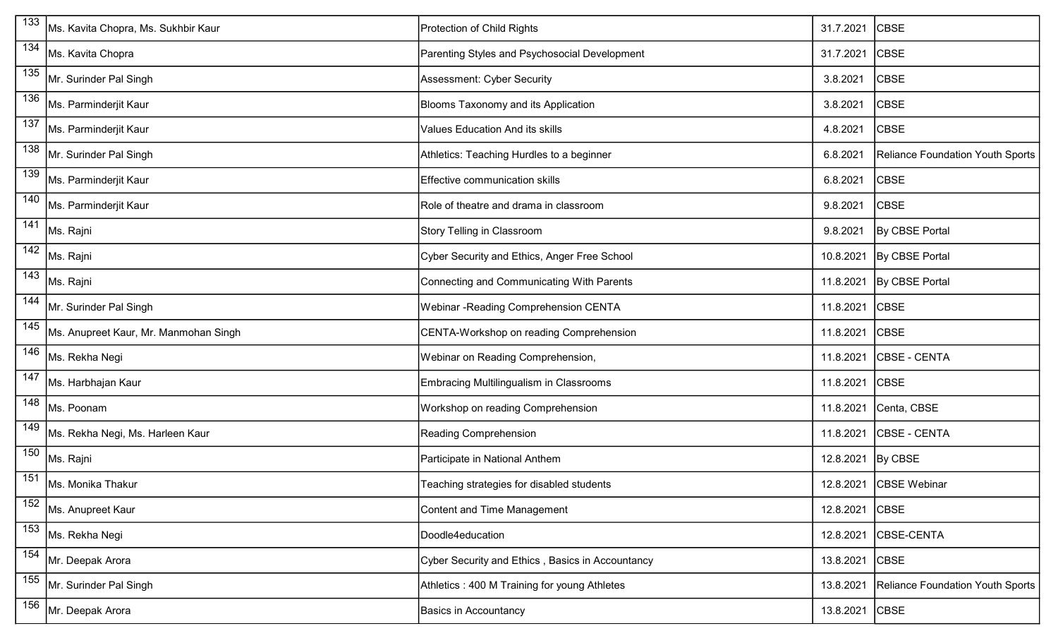| $\overline{133}$ | Ms. Kavita Chopra, Ms. Sukhbir Kaur   | Protection of Child Rights                       | 31.7.2021 | <b>CBSE</b>                      |
|------------------|---------------------------------------|--------------------------------------------------|-----------|----------------------------------|
| 134              | Ms. Kavita Chopra                     | Parenting Styles and Psychosocial Development    | 31.7.2021 | <b>CBSE</b>                      |
| $\overline{135}$ | Mr. Surinder Pal Singh                | Assessment: Cyber Security                       | 3.8.2021  | <b>CBSE</b>                      |
| 136              | Ms. Parminderjit Kaur                 | Blooms Taxonomy and its Application              | 3.8.2021  | <b>CBSE</b>                      |
| 137              | Ms. Parminderjit Kaur                 | <b>Values Education And its skills</b>           | 4.8.2021  | <b>CBSE</b>                      |
| 138              | Mr. Surinder Pal Singh                | Athletics: Teaching Hurdles to a beginner        | 6.8.2021  | Reliance Foundation Youth Sports |
| 139              | Ms. Parminderjit Kaur                 | Effective communication skills                   | 6.8.2021  | <b>CBSE</b>                      |
| 140              | Ms. Parminderjit Kaur                 | Role of theatre and drama in classroom           | 9.8.2021  | <b>CBSE</b>                      |
| 141              | Ms. Rajni                             | Story Telling in Classroom                       | 9.8.2021  | <b>By CBSE Portal</b>            |
| $\overline{142}$ | Ms. Rajni                             | Cyber Security and Ethics, Anger Free School     | 10.8.2021 | By CBSE Portal                   |
| 143              | Ms. Rajni                             | Connecting and Communicating With Parents        | 11.8.2021 | By CBSE Portal                   |
| 144              | Mr. Surinder Pal Singh                | Webinar -Reading Comprehension CENTA             | 11.8.2021 | <b>CBSE</b>                      |
| 145              | Ms. Anupreet Kaur, Mr. Manmohan Singh | CENTA-Workshop on reading Comprehension          | 11.8.2021 | <b>CBSE</b>                      |
| 146              | Ms. Rekha Negi                        | Webinar on Reading Comprehension,                | 11.8.2021 | <b>CBSE - CENTA</b>              |
| 147              | Ms. Harbhajan Kaur                    | Embracing Multilingualism in Classrooms          | 11.8.2021 | <b>CBSE</b>                      |
| $\overline{148}$ | Ms. Poonam                            | Workshop on reading Comprehension                | 11.8.2021 | Centa, CBSE                      |
| 149              | Ms. Rekha Negi, Ms. Harleen Kaur      | Reading Comprehension                            | 11.8.2021 | CBSE - CENTA                     |
| 150              | Ms. Rajni                             | Participate in National Anthem                   | 12.8.2021 | By CBSE                          |
| 151              | Ms. Monika Thakur                     | Teaching strategies for disabled students        |           | 12.8.2021 CBSE Webinar           |
| 152              | Ms. Anupreet Kaur                     | Content and Time Management                      | 12.8.2021 | <b>CBSE</b>                      |
| 153              | Ms. Rekha Negi                        | Doodle4education                                 | 12.8.2021 | CBSE-CENTA                       |
| $\overline{154}$ | Mr. Deepak Arora                      | Cyber Security and Ethics, Basics in Accountancy | 13.8.2021 | <b>CBSE</b>                      |
| 155              | Mr. Surinder Pal Singh                | Athletics : 400 M Training for young Athletes    | 13.8.2021 | Reliance Foundation Youth Sports |
| 156              | Mr. Deepak Arora                      | <b>Basics in Accountancy</b>                     | 13.8.2021 | <b>CBSE</b>                      |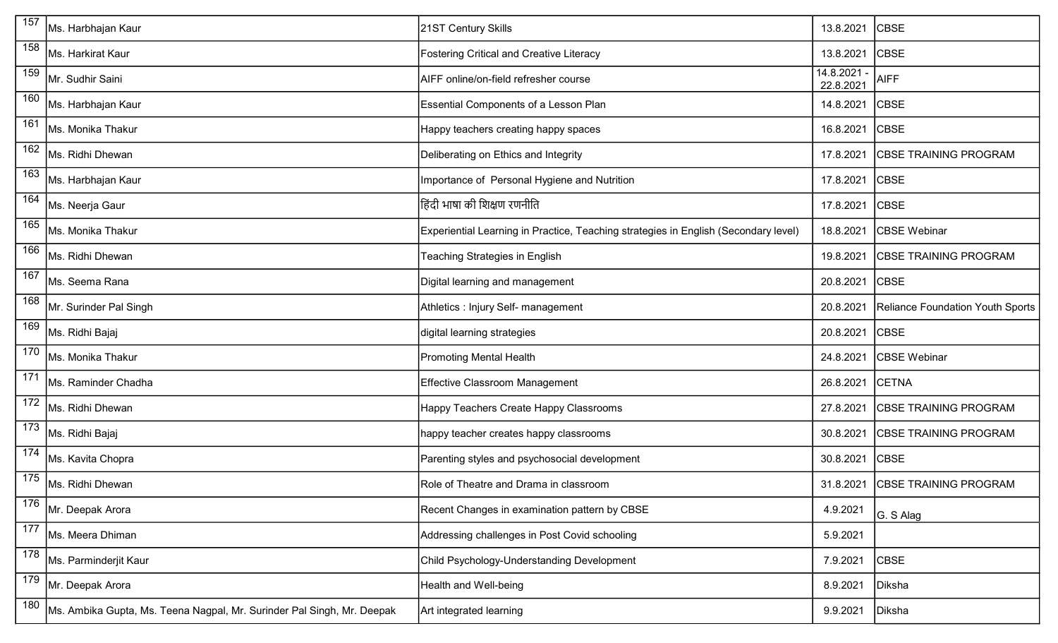| 157              | Ms. Harbhajan Kaur                                                     | 21ST Century Skills                                                                 | 13.8.2021                | <b>CBSE</b>                      |
|------------------|------------------------------------------------------------------------|-------------------------------------------------------------------------------------|--------------------------|----------------------------------|
| 158              | Ms. Harkirat Kaur                                                      | <b>Fostering Critical and Creative Literacy</b>                                     | 13.8.2021                | <b>CBSE</b>                      |
| 159              | Mr. Sudhir Saini                                                       | AIFF online/on-field refresher course                                               | 14.8.2021 -<br>22.8.2021 | <b>AIFF</b>                      |
| 160              | Ms. Harbhajan Kaur                                                     | Essential Components of a Lesson Plan                                               | 14.8.2021                | <b>CBSE</b>                      |
| 161              | Ms. Monika Thakur                                                      | Happy teachers creating happy spaces                                                | 16.8.2021                | <b>CBSE</b>                      |
| 162              | Ms. Ridhi Dhewan                                                       | Deliberating on Ethics and Integrity                                                | 17.8.2021                | <b>CBSE TRAINING PROGRAM</b>     |
| 163              | Ms. Harbhajan Kaur                                                     | Importance of Personal Hygiene and Nutrition                                        | 17.8.2021                | <b>CBSE</b>                      |
| 164              | Ms. Neerja Gaur                                                        | हिंदी भाषा की शिक्षण रणनीति                                                         | 17.8.2021                | <b>CBSE</b>                      |
| 165              | Ms. Monika Thakur                                                      | Experiential Learning in Practice, Teaching strategies in English (Secondary level) | 18.8.2021                | <b>CBSE</b> Webinar              |
| 166              | Ms. Ridhi Dhewan                                                       | Teaching Strategies in English                                                      | 19.8.2021                | <b>CBSE TRAINING PROGRAM</b>     |
| 167              | Ms. Seema Rana                                                         | Digital learning and management                                                     | 20.8.2021                | <b>CBSE</b>                      |
| 168              | Mr. Surinder Pal Singh                                                 | Athletics : Injury Self- management                                                 | 20.8.2021                | Reliance Foundation Youth Sports |
| 169              | Ms. Ridhi Bajaj                                                        | digital learning strategies                                                         | 20.8.2021                | <b>CBSE</b>                      |
| 170              | Ms. Monika Thakur                                                      | <b>Promoting Mental Health</b>                                                      | 24.8.2021                | <b>CBSE Webinar</b>              |
| 171              | Ms. Raminder Chadha                                                    | <b>Effective Classroom Management</b>                                               | 26.8.2021                | <b>CETNA</b>                     |
| 172              | Ms. Ridhi Dhewan                                                       | Happy Teachers Create Happy Classrooms                                              | 27.8.2021                | <b>CBSE TRAINING PROGRAM</b>     |
| 173              | Ms. Ridhi Bajaj                                                        | happy teacher creates happy classrooms                                              | 30.8.2021                | <b>CBSE TRAINING PROGRAM</b>     |
| 174              | Ms. Kavita Chopra                                                      | Parenting styles and psychosocial development                                       | 30.8.2021                | <b>CBSE</b>                      |
| $\overline{175}$ | Ms. Ridhi Dhewan                                                       | Role of Theatre and Drama in classroom                                              |                          | 31.8.2021 CBSE TRAINING PROGRAM  |
| 176              | Mr. Deepak Arora                                                       | Recent Changes in examination pattern by CBSE                                       | 4.9.2021                 | G. S Alag                        |
| 177              | Ms. Meera Dhiman                                                       | Addressing challenges in Post Covid schooling                                       | 5.9.2021                 |                                  |
| 178              | Ms. Parminderjit Kaur                                                  | Child Psychology-Understanding Development                                          | 7.9.2021                 | <b>CBSE</b>                      |
| 179              | Mr. Deepak Arora                                                       | Health and Well-being                                                               | 8.9.2021                 | Diksha                           |
| 180              | Ms. Ambika Gupta, Ms. Teena Nagpal, Mr. Surinder Pal Singh, Mr. Deepak | Art integrated learning                                                             | 9.9.2021                 | Diksha                           |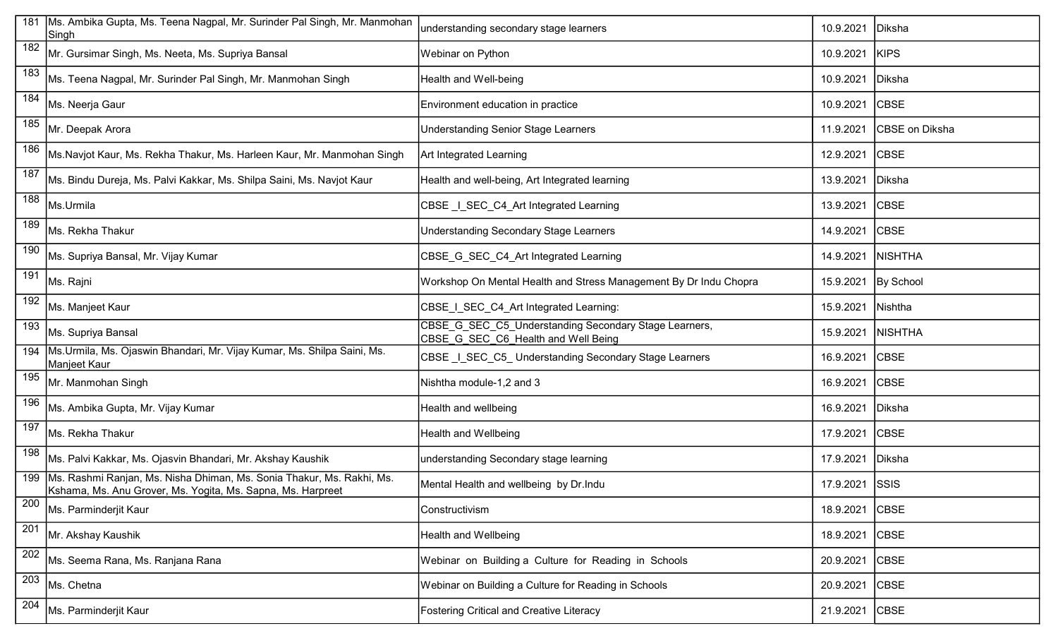| 181 | Ms. Ambika Gupta, Ms. Teena Nagpal, Mr. Surinder Pal Singh, Mr. Manmohan<br>Singh                                                          | understanding secondary stage learners                                                       | 10.9.2021      | Diksha                |
|-----|--------------------------------------------------------------------------------------------------------------------------------------------|----------------------------------------------------------------------------------------------|----------------|-----------------------|
| 182 | Mr. Gursimar Singh, Ms. Neeta, Ms. Supriya Bansal                                                                                          | Webinar on Python                                                                            | 10.9.2021      | KIPS                  |
| 183 | Ms. Teena Nagpal, Mr. Surinder Pal Singh, Mr. Manmohan Singh                                                                               | Health and Well-being                                                                        | 10.9.2021      | Diksha                |
| 184 | Ms. Neerja Gaur                                                                                                                            | Environment education in practice                                                            | 10.9.2021      | <b>CBSE</b>           |
| 185 | Mr. Deepak Arora                                                                                                                           | <b>Understanding Senior Stage Learners</b>                                                   | 11.9.2021      | <b>CBSE</b> on Diksha |
| 186 | Ms.Navjot Kaur, Ms. Rekha Thakur, Ms. Harleen Kaur, Mr. Manmohan Singh                                                                     | Art Integrated Learning                                                                      | 12.9.2021      | <b>CBSE</b>           |
| 187 | Ms. Bindu Dureja, Ms. Palvi Kakkar, Ms. Shilpa Saini, Ms. Navjot Kaur                                                                      | Health and well-being, Art Integrated learning                                               | 13.9.2021      | Diksha                |
| 188 | Ms.Urmila                                                                                                                                  | CBSE I SEC C4 Art Integrated Learning                                                        | 13.9.2021      | <b>CBSE</b>           |
| 189 | Ms. Rekha Thakur                                                                                                                           | Understanding Secondary Stage Learners                                                       | 14.9.2021      | <b>CBSE</b>           |
| 190 | Ms. Supriya Bansal, Mr. Vijay Kumar                                                                                                        | CBSE G SEC C4 Art Integrated Learning                                                        | 14.9.2021      | <b>NISHTHA</b>        |
| 191 | Ms. Rajni                                                                                                                                  | Workshop On Mental Health and Stress Management By Dr Indu Chopra                            | 15.9.2021      | By School             |
| 192 | Ms. Manjeet Kaur                                                                                                                           | CBSE I SEC C4 Art Integrated Learning:                                                       | 15.9.2021      | Nishtha               |
| 193 | Ms. Supriya Bansal                                                                                                                         | CBSE_G_SEC_C5_Understanding Secondary Stage Learners,<br>CBSE G SEC C6 Health and Well Being | 15.9.2021      | <b>NISHTHA</b>        |
|     | 194   Ms. Urmila, Ms. Ojaswin Bhandari, Mr. Vijay Kumar, Ms. Shilpa Saini, Ms.<br>Manjeet Kaur                                             | CBSE _I_SEC_C5_ Understanding Secondary Stage Learners                                       | 16.9.2021      | <b>CBSE</b>           |
| 195 | Mr. Manmohan Singh                                                                                                                         | Nishtha module-1,2 and 3                                                                     | 16.9.2021      | <b>CBSE</b>           |
| 196 | Ms. Ambika Gupta, Mr. Vijay Kumar                                                                                                          | Health and wellbeing                                                                         | 16.9.2021      | Diksha                |
| 197 | Ms. Rekha Thakur                                                                                                                           | Health and Wellbeing                                                                         | 17.9.2021      | <b>CBSE</b>           |
| 198 | Ms. Palvi Kakkar, Ms. Ojasvin Bhandari, Mr. Akshay Kaushik                                                                                 | understanding Secondary stage learning                                                       | 17.9.2021      | Diksha                |
|     | 199   Ms. Rashmi Ranjan, Ms. Nisha Dhiman, Ms. Sonia Thakur, Ms. Rakhi, Ms.<br>Kshama, Ms. Anu Grover, Ms. Yogita, Ms. Sapna, Ms. Harpreet | Mental Health and wellbeing by Dr. Indu                                                      | 17.9.2021 SSIS |                       |
| 200 | Ms. Parminderjit Kaur                                                                                                                      | Constructivism                                                                               | 18.9.2021      | <b>CBSE</b>           |
| 201 | Mr. Akshay Kaushik                                                                                                                         | <b>Health and Wellbeing</b>                                                                  | 18.9.2021      | <b>CBSE</b>           |
| 202 | Ms. Seema Rana, Ms. Ranjana Rana                                                                                                           | Webinar on Building a Culture for Reading in Schools                                         | 20.9.2021      | <b>CBSE</b>           |
| 203 | Ms. Chetna                                                                                                                                 | Webinar on Building a Culture for Reading in Schools                                         | 20.9.2021      | <b>CBSE</b>           |
| 204 | Ms. Parminderjit Kaur                                                                                                                      | <b>Fostering Critical and Creative Literacy</b>                                              | 21.9.2021      | <b>CBSE</b>           |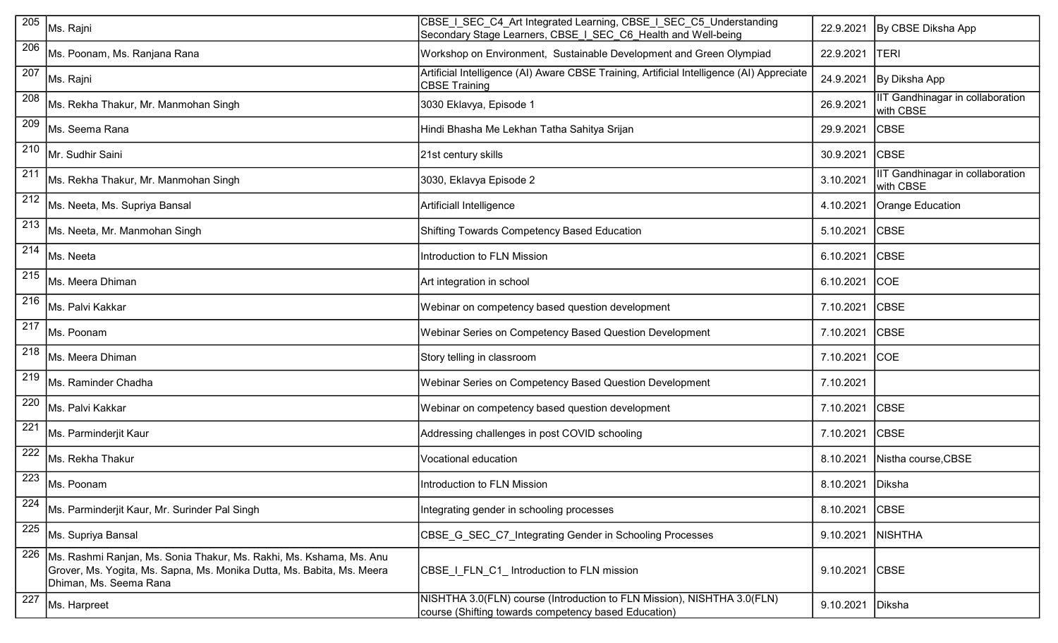| 205              | Ms. Rajni                                                                                                                                                               | CBSE   SEC C4 Art Integrated Learning, CBSE   SEC C5 Understanding<br>Secondary Stage Learners, CBSE   SEC_C6_Health and Well-being | 22.9.2021        | By CBSE Diksha App                            |
|------------------|-------------------------------------------------------------------------------------------------------------------------------------------------------------------------|-------------------------------------------------------------------------------------------------------------------------------------|------------------|-----------------------------------------------|
| 206              | Ms. Poonam, Ms. Ranjana Rana                                                                                                                                            | Workshop on Environment, Sustainable Development and Green Olympiad                                                                 | 22.9.2021        | <b>TERI</b>                                   |
| 207              | Ms. Rajni                                                                                                                                                               | Artificial Intelligence (AI) Aware CBSE Training, Artificial Intelligence (AI) Appreciate<br><b>CBSE Training</b>                   | 24.9.2021        | By Diksha App                                 |
| 208              | Ms. Rekha Thakur, Mr. Manmohan Singh                                                                                                                                    | 3030 Eklavya, Episode 1                                                                                                             | 26.9.2021        | IT Gandhinagar in collaboration<br>with CBSE  |
| 209              | Ms. Seema Rana                                                                                                                                                          | Hindi Bhasha Me Lekhan Tatha Sahitya Srijan                                                                                         | 29.9.2021        | <b>CBSE</b>                                   |
| 210              | Mr. Sudhir Saini                                                                                                                                                        | 21st century skills                                                                                                                 | 30.9.2021        | <b>CBSE</b>                                   |
| 211              | Ms. Rekha Thakur, Mr. Manmohan Singh                                                                                                                                    | 3030, Eklavya Episode 2                                                                                                             | 3.10.2021        | IIT Gandhinagar in collaboration<br>with CBSE |
| 212              | Ms. Neeta, Ms. Supriya Bansal                                                                                                                                           | Artificiall Intelligence                                                                                                            | 4.10.2021        | Orange Education                              |
| $\overline{213}$ | Ms. Neeta, Mr. Manmohan Singh                                                                                                                                           | Shifting Towards Competency Based Education                                                                                         | 5.10.2021        | <b>CBSE</b>                                   |
| 214              | lMs. Neeta                                                                                                                                                              | Introduction to FLN Mission                                                                                                         | 6.10.2021        | <b>CBSE</b>                                   |
| 215              | Ms. Meera Dhiman                                                                                                                                                        | Art integration in school                                                                                                           | 6.10.2021        | COE                                           |
| 216              | Ms. Palvi Kakkar                                                                                                                                                        | Webinar on competency based question development                                                                                    | 7.10.2021        | <b>CBSE</b>                                   |
| 217              | Ms. Poonam                                                                                                                                                              | Webinar Series on Competency Based Question Development                                                                             | 7.10.2021        | <b>CBSE</b>                                   |
| 218              | Ms. Meera Dhiman                                                                                                                                                        | Story telling in classroom                                                                                                          | 7.10.2021        | <b>COE</b>                                    |
| 219              | Ms. Raminder Chadha                                                                                                                                                     | Webinar Series on Competency Based Question Development                                                                             | 7.10.2021        |                                               |
| 220              | Ms. Palvi Kakkar                                                                                                                                                        | Webinar on competency based question development                                                                                    | 7.10.2021        | <b>CBSE</b>                                   |
| 221              | Ms. Parminderjit Kaur                                                                                                                                                   | Addressing challenges in post COVID schooling                                                                                       | 7.10.2021        | <b>CBSE</b>                                   |
| 222              | Ms. Rekha Thakur                                                                                                                                                        | Vocational education                                                                                                                | 8.10.2021        | Nistha course, CBSE                           |
| 223              | Ms. Poonam                                                                                                                                                              | Introduction to FLN Mission                                                                                                         | 8.10.2021 Diksha |                                               |
| 224              | Ms. Parminderjit Kaur, Mr. Surinder Pal Singh                                                                                                                           | Integrating gender in schooling processes                                                                                           | 8.10.2021        | <b>CBSE</b>                                   |
| 225              | Ms. Supriya Bansal                                                                                                                                                      | CBSE G SEC C7 Integrating Gender in Schooling Processes                                                                             | 9.10.2021        | <b>NISHTHA</b>                                |
| 226              | Ms. Rashmi Ranjan, Ms. Sonia Thakur, Ms. Rakhi, Ms. Kshama, Ms. Anu<br>Grover, Ms. Yogita, Ms. Sapna, Ms. Monika Dutta, Ms. Babita, Ms. Meera<br>Dhiman, Ms. Seema Rana | CBSE I FLN C1 Introduction to FLN mission                                                                                           | 9.10.2021        | <b>CBSE</b>                                   |
| 227              | Ms. Harpreet                                                                                                                                                            | NISHTHA 3.0(FLN) course (Introduction to FLN Mission), NISHTHA 3.0(FLN)<br>course (Shifting towards competency based Education)     | 9.10.2021        | Diksha                                        |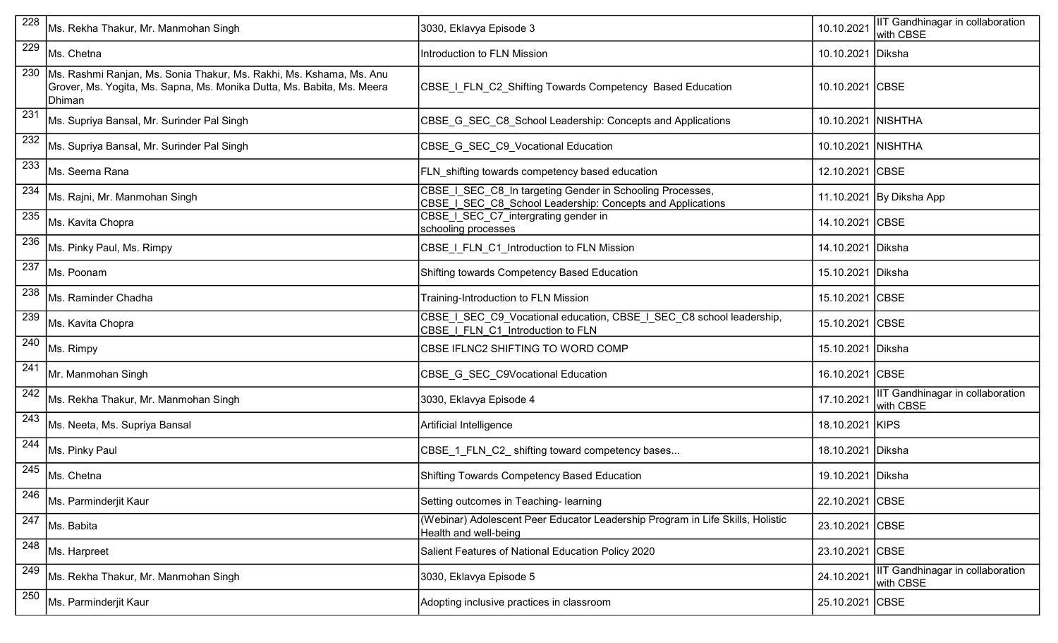| 228 | Ms. Rekha Thakur, Mr. Manmohan Singh                                                                                                                    | 3030, Eklavya Episode 3                                                                                                 | 10.10.2021         | IIT Gandhinagar in collaboration<br>with CBSE |
|-----|---------------------------------------------------------------------------------------------------------------------------------------------------------|-------------------------------------------------------------------------------------------------------------------------|--------------------|-----------------------------------------------|
| 229 | Ms. Chetna                                                                                                                                              | Introduction to FLN Mission                                                                                             | 10.10.2021         | Diksha                                        |
| 230 | Ms. Rashmi Ranjan, Ms. Sonia Thakur, Ms. Rakhi, Ms. Kshama, Ms. Anu<br>Grover, Ms. Yogita, Ms. Sapna, Ms. Monika Dutta, Ms. Babita, Ms. Meera<br>Dhiman | CBSE I FLN C2 Shifting Towards Competency Based Education                                                               | 10.10.2021 CBSE    |                                               |
| 231 | Ms. Supriya Bansal, Mr. Surinder Pal Singh                                                                                                              | CBSE G SEC C8 School Leadership: Concepts and Applications                                                              | 10.10.2021         | <b>NISHTHA</b>                                |
| 232 | Ms. Supriya Bansal, Mr. Surinder Pal Singh                                                                                                              | CBSE G SEC C9 Vocational Education                                                                                      | 10.10.2021 NISHTHA |                                               |
| 233 | Ms. Seema Rana                                                                                                                                          | <b>FLN_shifting towards competency based education</b>                                                                  | 12.10.2021         | <b>CBSE</b>                                   |
| 234 | Ms. Rajni, Mr. Manmohan Singh                                                                                                                           | CBSE I SEC C8 In targeting Gender in Schooling Processes,<br>CBSE I SEC C8 School Leadership: Concepts and Applications |                    | 11.10.2021 By Diksha App                      |
| 235 | Ms. Kavita Chopra                                                                                                                                       | CBSE_I_SEC_C7_intergrating gender in<br>schooling processes                                                             | 14.10.2021 CBSE    |                                               |
| 236 | Ms. Pinky Paul, Ms. Rimpy                                                                                                                               | CBSE I_FLN_C1_Introduction to FLN Mission                                                                               | 14.10.2021         | Diksha                                        |
| 237 | Ms. Poonam                                                                                                                                              | Shifting towards Competency Based Education                                                                             | 15.10.2021 Diksha  |                                               |
| 238 | Ms. Raminder Chadha                                                                                                                                     | Training-Introduction to FLN Mission                                                                                    | 15.10.2021 CBSE    |                                               |
| 239 | Ms. Kavita Chopra                                                                                                                                       | CBSE   SEC C9 Vocational education, CBSE   SEC C8 school leadership,<br>CBSE I FLN C1 Introduction to FLN               | 15.10.2021 CBSE    |                                               |
| 240 | Ms. Rimpy                                                                                                                                               | CBSE IFLNC2 SHIFTING TO WORD COMP                                                                                       | 15.10.2021 Diksha  |                                               |
| 241 | Mr. Manmohan Singh                                                                                                                                      | CBSE G SEC C9Vocational Education                                                                                       | 16.10.2021 CBSE    |                                               |
| 242 | Ms. Rekha Thakur, Mr. Manmohan Singh                                                                                                                    | 3030, Eklavya Episode 4                                                                                                 | 17.10.2021         | IIT Gandhinagar in collaboration<br>with CBSE |
| 243 | Ms. Neeta, Ms. Supriya Bansal                                                                                                                           | Artificial Intelligence                                                                                                 | 18.10.2021 KIPS    |                                               |
| 244 | Ms. Pinky Paul                                                                                                                                          | CBSE_1_FLN_C2_shifting toward competency bases                                                                          | 18.10.2021 Diksha  |                                               |
| 245 | Ms. Chetna                                                                                                                                              | Shifting Towards Competency Based Education                                                                             | 19.10.2021 Diksha  |                                               |
| 246 | Ms. Parminderjit Kaur                                                                                                                                   | Setting outcomes in Teaching- learning                                                                                  | 22.10.2021         | <b>CBSE</b>                                   |
| 247 | Ms. Babita                                                                                                                                              | (Webinar) Adolescent Peer Educator Leadership Program in Life Skills, Holistic<br>Health and well-being                 | 23.10.2021         | <b>CBSE</b>                                   |
| 248 | Ms. Harpreet                                                                                                                                            | Salient Features of National Education Policy 2020                                                                      | 23.10.2021 CBSE    |                                               |
| 249 | Ms. Rekha Thakur, Mr. Manmohan Singh                                                                                                                    | 3030, Eklavya Episode 5                                                                                                 | 24.10.2021         | IIT Gandhinagar in collaboration<br>with CBSE |
| 250 | Ms. Parminderjit Kaur                                                                                                                                   | Adopting inclusive practices in classroom                                                                               | 25.10.2021 CBSE    |                                               |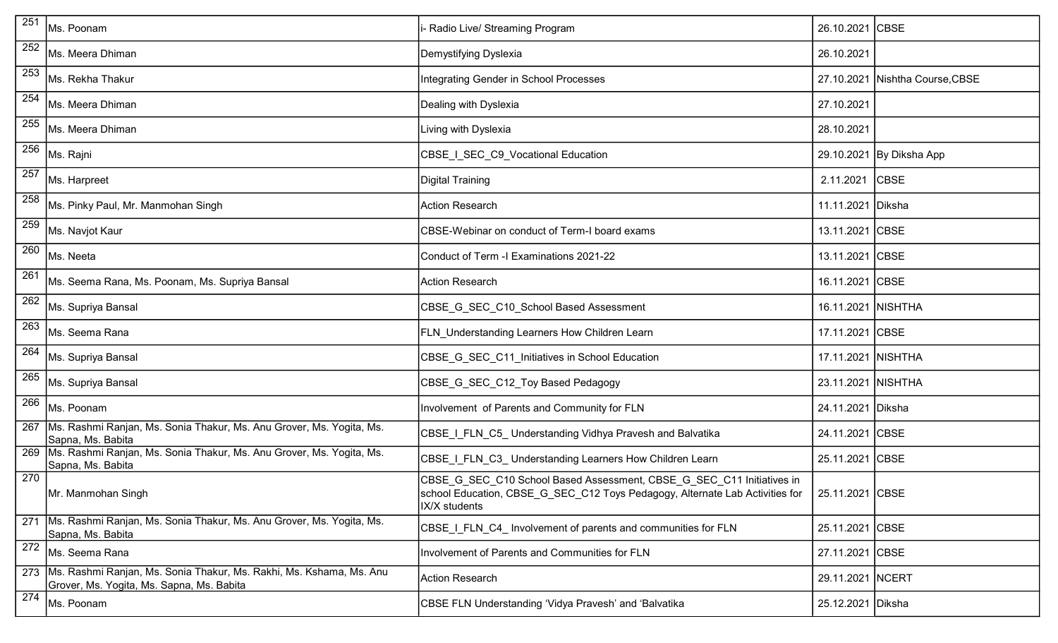| 251 | Ms. Poonam                                                                                                             | - Radio Live/ Streaming Program                                                                                                                                        | 26.10.2021 CBSE    |                                 |
|-----|------------------------------------------------------------------------------------------------------------------------|------------------------------------------------------------------------------------------------------------------------------------------------------------------------|--------------------|---------------------------------|
| 252 | Ms. Meera Dhiman                                                                                                       | Demystifying Dyslexia                                                                                                                                                  | 26.10.2021         |                                 |
| 253 | Ms. Rekha Thakur                                                                                                       | Integrating Gender in School Processes                                                                                                                                 |                    | 27.10.2021 Nishtha Course, CBSE |
| 254 | Ms. Meera Dhiman                                                                                                       | Dealing with Dyslexia                                                                                                                                                  | 27.10.2021         |                                 |
| 255 | IMs. Meera Dhiman                                                                                                      | Living with Dyslexia                                                                                                                                                   | 28.10.2021         |                                 |
| 256 | Ms. Rajni                                                                                                              | CBSE_I_SEC_C9_Vocational Education                                                                                                                                     |                    | 29.10.2021 By Diksha App        |
| 257 | Ms. Harpreet                                                                                                           | Digital Training                                                                                                                                                       | 2.11.2021          | <b>CBSE</b>                     |
| 258 | Ms. Pinky Paul, Mr. Manmohan Singh                                                                                     | <b>Action Research</b>                                                                                                                                                 | 11.11.2021 Diksha  |                                 |
| 259 | Ms. Navjot Kaur                                                                                                        | CBSE-Webinar on conduct of Term-I board exams                                                                                                                          | 13.11.2021 CBSE    |                                 |
| 260 | Ms. Neeta                                                                                                              | Conduct of Term -I Examinations 2021-22                                                                                                                                | 13.11.2021 CBSE    |                                 |
| 261 | Ms. Seema Rana, Ms. Poonam, Ms. Supriya Bansal                                                                         | <b>Action Research</b>                                                                                                                                                 | 16.11.2021 CBSE    |                                 |
| 262 | Ms. Supriya Bansal                                                                                                     | CBSE G SEC_C10_School Based Assessment                                                                                                                                 | 16.11.2021 NISHTHA |                                 |
| 263 | Ms. Seema Rana                                                                                                         | FLN_Understanding Learners How Children Learn                                                                                                                          | 17.11.2021 CBSE    |                                 |
| 264 | Ms. Supriya Bansal                                                                                                     | CBSE_G_SEC_C11_Initiatives in School Education                                                                                                                         | 17.11.2021 NISHTHA |                                 |
| 265 | Ms. Supriya Bansal                                                                                                     | CBSE G_SEC_C12_Toy Based Pedagogy                                                                                                                                      | 23.11.2021 NISHTHA |                                 |
| 266 | Ms. Poonam                                                                                                             | Involvement of Parents and Community for FLN                                                                                                                           | 24.11.2021 Diksha  |                                 |
|     | 267   Ms. Rashmi Ranjan, Ms. Sonia Thakur, Ms. Anu Grover, Ms. Yogita, Ms.<br>Sapna, Ms. Babita                        | CBSE_I_FLN_C5_ Understanding Vidhya Pravesh and Balvatika                                                                                                              | 24.11.2021 CBSE    |                                 |
|     | 269   Ms. Rashmi Ranjan, Ms. Sonia Thakur, Ms. Anu Grover, Ms. Yogita, Ms.<br>Sapna, Ms. Babita                        | CBSE I FLN C3 Understanding Learners How Children Learn                                                                                                                | 25.11.2021 CBSE    |                                 |
| 270 | Mr. Manmohan Singh                                                                                                     | CBSE G SEC C10 School Based Assessment, CBSE G SEC C11 Initiatives in<br>school Education, CBSE_G_SEC_C12 Toys Pedagogy, Alternate Lab Activities for<br>IX/X students | 25.11.2021 CBSE    |                                 |
|     | 271 Ms. Rashmi Ranjan, Ms. Sonia Thakur, Ms. Anu Grover, Ms. Yogita, Ms.<br>Sapna, Ms. Babita                          | CBSE I FLN C4 Involvement of parents and communities for FLN                                                                                                           | 25.11.2021 CBSE    |                                 |
| 272 | Ms. Seema Rana                                                                                                         | Involvement of Parents and Communities for FLN                                                                                                                         | 27.11.2021 CBSE    |                                 |
|     | 273   Ms. Rashmi Ranjan, Ms. Sonia Thakur, Ms. Rakhi, Ms. Kshama, Ms. Anu<br>Grover, Ms. Yogita, Ms. Sapna, Ms. Babita | <b>Action Research</b>                                                                                                                                                 | 29.11.2021   NCERT |                                 |
| 274 | Ms. Poonam                                                                                                             | CBSE FLN Understanding 'Vidya Pravesh' and 'Balvatika                                                                                                                  | 25.12.2021 Diksha  |                                 |